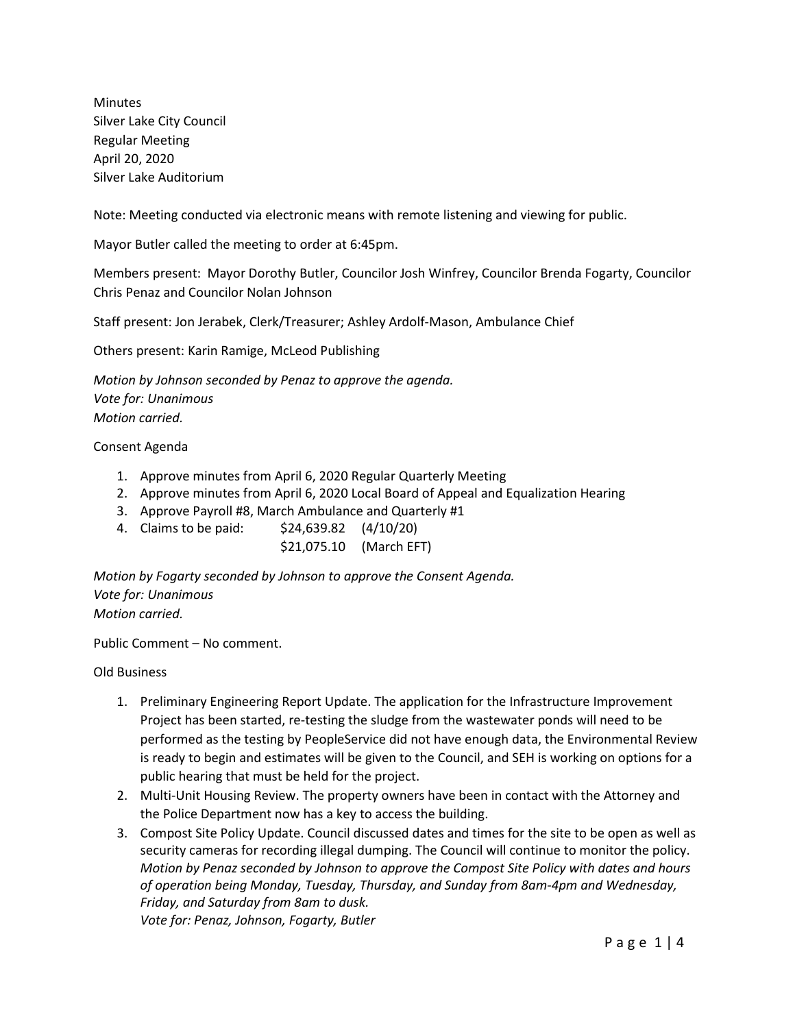Minutes Silver Lake City Council Regular Meeting April 20, 2020 Silver Lake Auditorium

Note: Meeting conducted via electronic means with remote listening and viewing for public.

Mayor Butler called the meeting to order at 6:45pm.

Members present: Mayor Dorothy Butler, Councilor Josh Winfrey, Councilor Brenda Fogarty, Councilor Chris Penaz and Councilor Nolan Johnson

Staff present: Jon Jerabek, Clerk/Treasurer; Ashley Ardolf-Mason, Ambulance Chief

Others present: Karin Ramige, McLeod Publishing

*Motion by Johnson seconded by Penaz to approve the agenda. Vote for: Unanimous Motion carried.*

## Consent Agenda

- 1. Approve minutes from April 6, 2020 Regular Quarterly Meeting
- 2. Approve minutes from April 6, 2020 Local Board of Appeal and Equalization Hearing
- 3. Approve Payroll #8, March Ambulance and Quarterly #1
- 4. Claims to be paid: \$24,639.82 (4/10/20)

\$21,075.10 (March EFT)

*Motion by Fogarty seconded by Johnson to approve the Consent Agenda. Vote for: Unanimous Motion carried.*

Public Comment – No comment.

Old Business

- 1. Preliminary Engineering Report Update. The application for the Infrastructure Improvement Project has been started, re-testing the sludge from the wastewater ponds will need to be performed as the testing by PeopleService did not have enough data, the Environmental Review is ready to begin and estimates will be given to the Council, and SEH is working on options for a public hearing that must be held for the project.
- 2. Multi-Unit Housing Review. The property owners have been in contact with the Attorney and the Police Department now has a key to access the building.
- 3. Compost Site Policy Update. Council discussed dates and times for the site to be open as well as security cameras for recording illegal dumping. The Council will continue to monitor the policy. *Motion by Penaz seconded by Johnson to approve the Compost Site Policy with dates and hours of operation being Monday, Tuesday, Thursday, and Sunday from 8am-4pm and Wednesday, Friday, and Saturday from 8am to dusk. Vote for: Penaz, Johnson, Fogarty, Butler*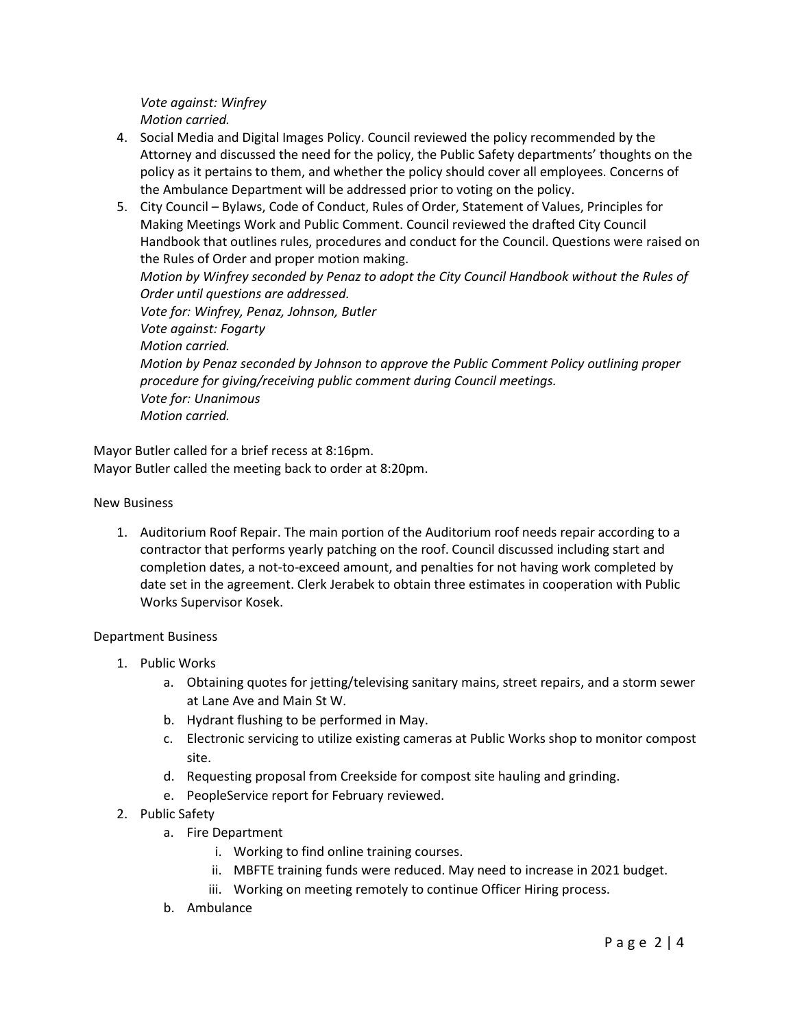*Vote against: Winfrey Motion carried.*

- 4. Social Media and Digital Images Policy. Council reviewed the policy recommended by the Attorney and discussed the need for the policy, the Public Safety departments' thoughts on the policy as it pertains to them, and whether the policy should cover all employees. Concerns of the Ambulance Department will be addressed prior to voting on the policy.
- 5. City Council Bylaws, Code of Conduct, Rules of Order, Statement of Values, Principles for Making Meetings Work and Public Comment. Council reviewed the drafted City Council Handbook that outlines rules, procedures and conduct for the Council. Questions were raised on the Rules of Order and proper motion making. *Motion by Winfrey seconded by Penaz to adopt the City Council Handbook without the Rules of Order until questions are addressed. Vote for: Winfrey, Penaz, Johnson, Butler Vote against: Fogarty Motion carried. Motion by Penaz seconded by Johnson to approve the Public Comment Policy outlining proper procedure for giving/receiving public comment during Council meetings. Vote for: Unanimous Motion carried.*

Mayor Butler called for a brief recess at 8:16pm. Mayor Butler called the meeting back to order at 8:20pm.

## New Business

1. Auditorium Roof Repair. The main portion of the Auditorium roof needs repair according to a contractor that performs yearly patching on the roof. Council discussed including start and completion dates, a not-to-exceed amount, and penalties for not having work completed by date set in the agreement. Clerk Jerabek to obtain three estimates in cooperation with Public Works Supervisor Kosek.

## Department Business

- 1. Public Works
	- a. Obtaining quotes for jetting/televising sanitary mains, street repairs, and a storm sewer at Lane Ave and Main St W.
	- b. Hydrant flushing to be performed in May.
	- c. Electronic servicing to utilize existing cameras at Public Works shop to monitor compost site.
	- d. Requesting proposal from Creekside for compost site hauling and grinding.
	- e. PeopleService report for February reviewed.
- 2. Public Safety
	- a. Fire Department
		- i. Working to find online training courses.
		- ii. MBFTE training funds were reduced. May need to increase in 2021 budget.
		- iii. Working on meeting remotely to continue Officer Hiring process.
	- b. Ambulance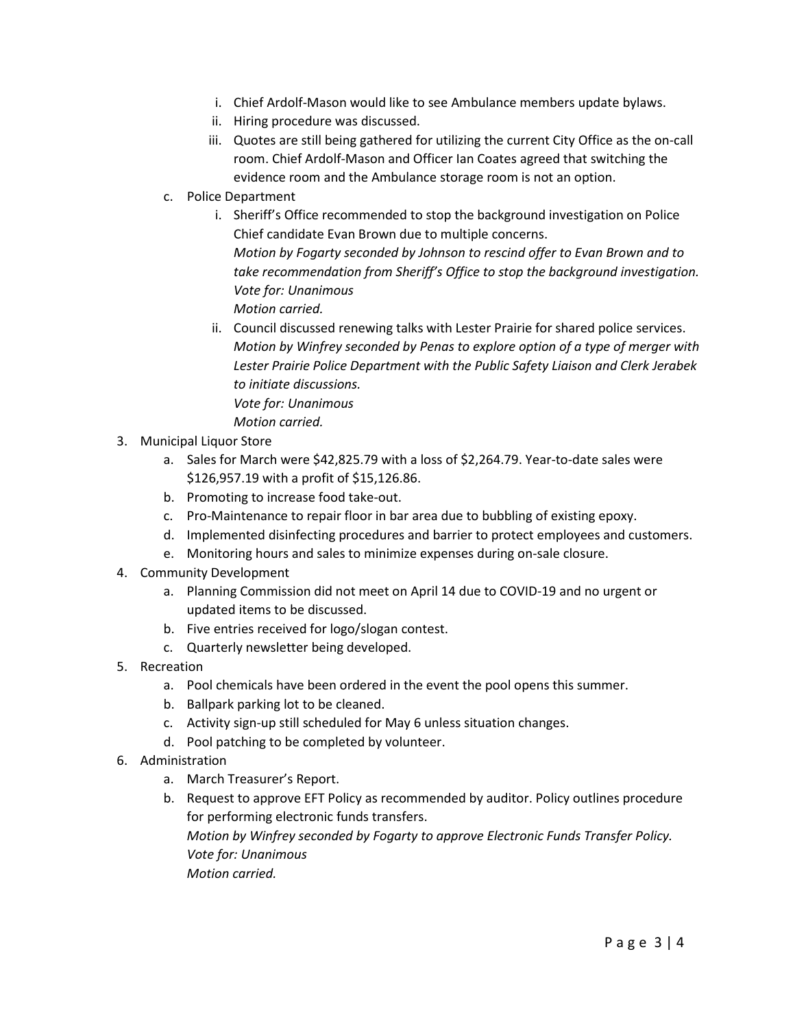- i. Chief Ardolf-Mason would like to see Ambulance members update bylaws.
- ii. Hiring procedure was discussed.
- iii. Quotes are still being gathered for utilizing the current City Office as the on-call room. Chief Ardolf-Mason and Officer Ian Coates agreed that switching the evidence room and the Ambulance storage room is not an option.
- c. Police Department
	- i. Sheriff's Office recommended to stop the background investigation on Police Chief candidate Evan Brown due to multiple concerns. *Motion by Fogarty seconded by Johnson to rescind offer to Evan Brown and to take recommendation from Sheriff's Office to stop the background investigation. Vote for: Unanimous Motion carried.*
	- ii. Council discussed renewing talks with Lester Prairie for shared police services. *Motion by Winfrey seconded by Penas to explore option of a type of merger with Lester Prairie Police Department with the Public Safety Liaison and Clerk Jerabek to initiate discussions. Vote for: Unanimous Motion carried.*
- 3. Municipal Liquor Store
	- a. Sales for March were \$42,825.79 with a loss of \$2,264.79. Year-to-date sales were \$126,957.19 with a profit of \$15,126.86.
	- b. Promoting to increase food take-out.
	- c. Pro-Maintenance to repair floor in bar area due to bubbling of existing epoxy.
	- d. Implemented disinfecting procedures and barrier to protect employees and customers.
	- e. Monitoring hours and sales to minimize expenses during on-sale closure.
- 4. Community Development
	- a. Planning Commission did not meet on April 14 due to COVID-19 and no urgent or updated items to be discussed.
	- b. Five entries received for logo/slogan contest.
	- c. Quarterly newsletter being developed.
- 5. Recreation
	- a. Pool chemicals have been ordered in the event the pool opens this summer.
	- b. Ballpark parking lot to be cleaned.
	- c. Activity sign-up still scheduled for May 6 unless situation changes.
	- d. Pool patching to be completed by volunteer.
- 6. Administration
	- a. March Treasurer's Report.
	- b. Request to approve EFT Policy as recommended by auditor. Policy outlines procedure for performing electronic funds transfers. *Motion by Winfrey seconded by Fogarty to approve Electronic Funds Transfer Policy. Vote for: Unanimous Motion carried.*